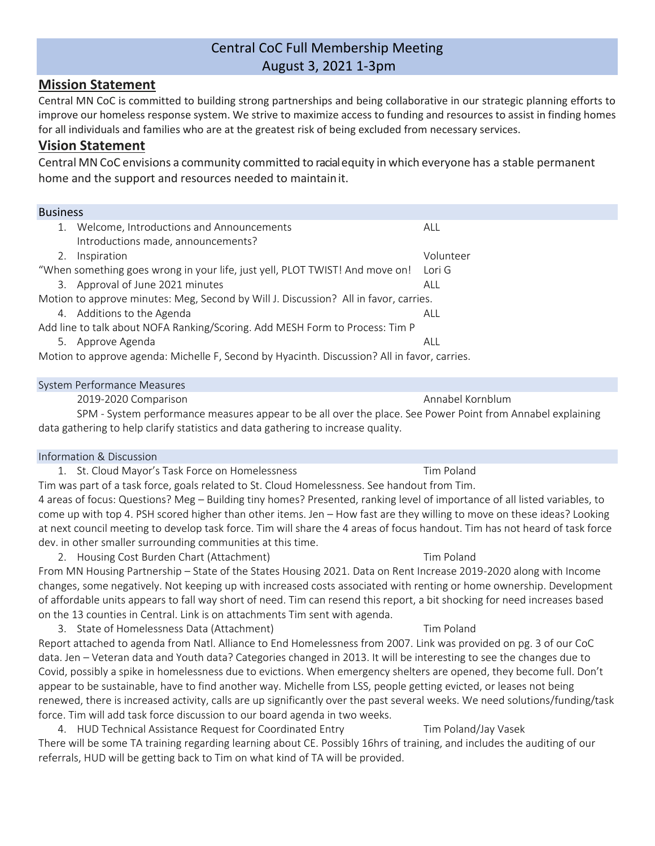# Central CoC Full Membership Meeting August 3, 2021 1-3pm

# **Mission Statement**

Central MN CoC is committed to building strong partnerships and being collaborative in our strategic planning efforts to improve our homeless response system. We strive to maximize access to funding and resources to assist in finding homes for all individuals and families who are at the greatest risk of being excluded from necessary services.

# **Vision Statement**

Central MNCoC envisions a community committed to racialequity in which everyone has a stable permanent home and the support and resources needed to maintainit.

# Business

| 1. | Welcome, Introductions and Announcements                                                     | ALL       |
|----|----------------------------------------------------------------------------------------------|-----------|
|    | Introductions made, announcements?                                                           |           |
| 2. | Inspiration                                                                                  | Volunteer |
|    | "When something goes wrong in your life, just yell, PLOT TWIST! And move on!                 | Lori G    |
|    | 3. Approval of June 2021 minutes                                                             | ALL       |
|    | Motion to approve minutes: Meg, Second by Will J. Discussion? All in favor, carries.         |           |
|    | 4. Additions to the Agenda                                                                   | ALL       |
|    | Add line to talk about NOFA Ranking/Scoring. Add MESH Form to Process: Tim P                 |           |
| 5. | Approve Agenda                                                                               | ALL       |
|    | Motion to approve agenda: Michelle F, Second by Hyacinth. Discussion? All in favor, carries. |           |

### System Performance Measures

2019-2020 Comparison **Annabel Kornblum Annabel Kornblum** 

SPM - System performance measures appear to be all over the place. See Power Point from Annabel explaining data gathering to help clarify statistics and data gathering to increase quality.

# Information & Discussion

1. St. Cloud Mayor's Task Force on Homelessness The Controller Controller Tim Poland Tim was part of a task force, goals related to St. Cloud Homelessness. See handout from Tim. 4 areas of focus: Questions? Meg – Building tiny homes? Presented, ranking level of importance of all listed variables, to come up with top 4. PSH scored higher than other items. Jen – How fast are they willing to move on these ideas? Looking at next council meeting to develop task force. Tim will share the 4 areas of focus handout. Tim has not heard of task force dev. in other smaller surrounding communities at this time.

2. Housing Cost Burden Chart (Attachment) Tim Poland

From MN Housing Partnership – State of the States Housing 2021. Data on Rent Increase 2019-2020 along with Income changes, some negatively. Not keeping up with increased costs associated with renting or home ownership. Development of affordable units appears to fall way short of need. Tim can resend this report, a bit shocking for need increases based on the 13 counties in Central. Link is on attachments Tim sent with agenda.

3. State of Homelessness Data (Attachment) Tim Poland Report attached to agenda from Natl. Alliance to End Homelessness from 2007. Link was provided on pg. 3 of our CoC data. Jen – Veteran data and Youth data? Categories changed in 2013. It will be interesting to see the changes due to Covid, possibly a spike in homelessness due to evictions. When emergency shelters are opened, they become full. Don't appear to be sustainable, have to find another way. Michelle from LSS, people getting evicted, or leases not being renewed, there is increased activity, calls are up significantly over the past several weeks. We need solutions/funding/task force. Tim will add task force discussion to our board agenda in two weeks.

4. HUD Technical Assistance Request for Coordinated Entry Tim Poland/Jay Vasek There will be some TA training regarding learning about CE. Possibly 16hrs of training, and includes the auditing of our referrals, HUD will be getting back to Tim on what kind of TA will be provided.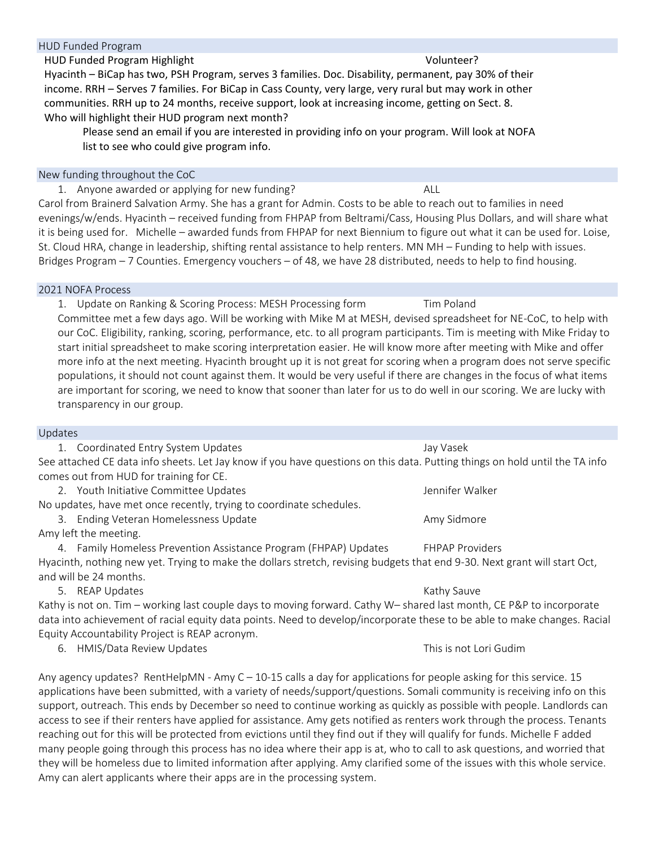## HUD Funded Program

HUD Funded Program Highlight Volunteer?

Hyacinth – BiCap has two, PSH Program, serves 3 families. Doc. Disability, permanent, pay 30% of their income. RRH – Serves 7 families. For BiCap in Cass County, very large, very rural but may work in other communities. RRH up to 24 months, receive support, look at increasing income, getting on Sect. 8. Who will highlight their HUD program next month?

Please send an email if you are interested in providing info on your program. Will look at NOFA list to see who could give program info.

#### New funding throughout the CoC

1. Anyone awarded or applying for new funding? ALL Carol from Brainerd Salvation Army. She has a grant for Admin. Costs to be able to reach out to families in need evenings/w/ends. Hyacinth – received funding from FHPAP from Beltrami/Cass, Housing Plus Dollars, and will share what it is being used for. Michelle – awarded funds from FHPAP for next Biennium to figure out what it can be used for. Loise, St. Cloud HRA, change in leadership, shifting rental assistance to help renters. MN MH – Funding to help with issues. Bridges Program – 7 Counties. Emergency vouchers – of 48, we have 28 distributed, needs to help to find housing.

#### 2021 NOFA Process

1. Update on Ranking & Scoring Process: MESH Processing form Tim Poland Committee met a few days ago. Will be working with Mike M at MESH, devised spreadsheet for NE-CoC, to help with our CoC. Eligibility, ranking, scoring, performance, etc. to all program participants. Tim is meeting with Mike Friday to start initial spreadsheet to make scoring interpretation easier. He will know more after meeting with Mike and offer more info at the next meeting. Hyacinth brought up it is not great for scoring when a program does not serve specific populations, it should not count against them. It would be very useful if there are changes in the focus of what items are important for scoring, we need to know that sooner than later for us to do well in our scoring. We are lucky with transparency in our group.

### Updates

1. Coordinated Entry System Updates Jay Vasek See attached CE data info sheets. Let Jay know if you have questions on this data. Putting things on hold until the TA info comes out from HUD for training for CE.

2. Youth Initiative Committee Updates Jennifer Walker

No updates, have met once recently, trying to coordinate schedules.

- 3. Ending Veteran Homelessness Update Amy Sidmore Amy Sidmore
- Amy left the meeting.

4. Family Homeless Prevention Assistance Program (FHPAP) Updates FHPAP Providers Hyacinth, nothing new yet. Trying to make the dollars stretch, revising budgets that end 9-30. Next grant will start Oct, and will be 24 months.

5. REAP Updates **Kathy Sauve Extra Service Controller State** Kathy Sauve

Kathy is not on. Tim – working last couple days to moving forward. Cathy W– shared last month, CE P&P to incorporate data into achievement of racial equity data points. Need to develop/incorporate these to be able to make changes. Racial Equity Accountability Project is REAP acronym.

6. HMIS/Data Review Updates **This is not Lori Gudim** 6. Note that the state of the This is not Lori Gudim

Any agency updates? RentHelpMN - Amy  $C - 10-15$  calls a day for applications for people asking for this service. 15 applications have been submitted, with a variety of needs/support/questions. Somali community is receiving info on this support, outreach. This ends by December so need to continue working as quickly as possible with people. Landlords can access to see if their renters have applied for assistance. Amy gets notified as renters work through the process. Tenants reaching out for this will be protected from evictions until they find out if they will qualify for funds. Michelle F added many people going through this process has no idea where their app is at, who to call to ask questions, and worried that they will be homeless due to limited information after applying. Amy clarified some of the issues with this whole service. Amy can alert applicants where their apps are in the processing system.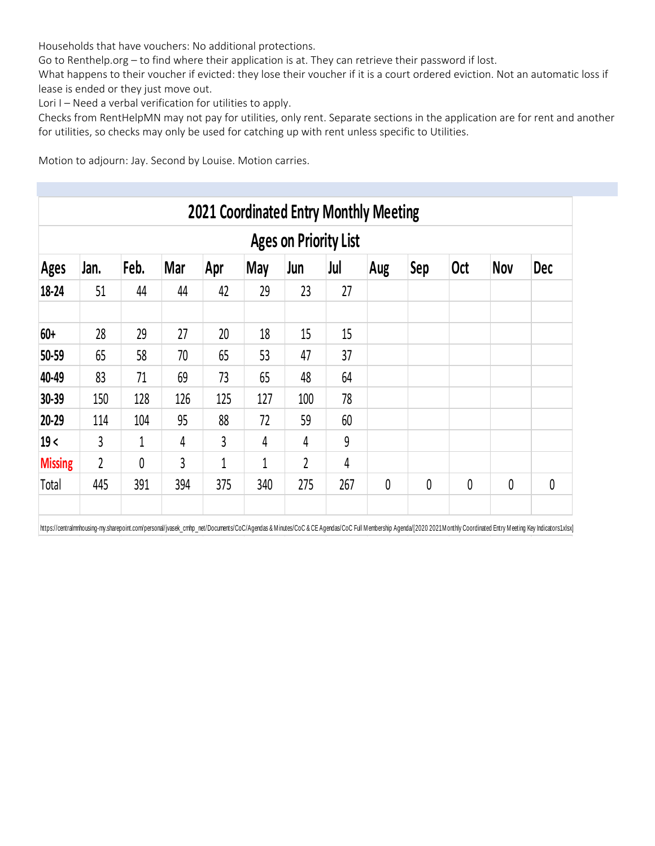Households that have vouchers: No additional protections.

Go to Renthelp.org – to find where their application is at. They can retrieve their password if lost.

What happens to their voucher if evicted: they lose their voucher if it is a court ordered eviction. Not an automatic loss if lease is ended or they just move out.

Lori I – Need a verbal verification for utilities to apply.

Checks from RentHelpMN may not pay for utilities, only rent. Separate sections in the application are for rent and another for utilities, so checks may only be used for catching up with rent unless specific to Utilities.

Motion to adjourn: Jay. Second by Louise. Motion carries.

| <b>Ages on Priority List</b> |      |      |            |                |     |     |                |          |            |            |            |            |  |
|------------------------------|------|------|------------|----------------|-----|-----|----------------|----------|------------|------------|------------|------------|--|
| <b>Ages</b>                  | Jan. | Feb. | <b>Mar</b> | Apr            | May | Jun | Jul            | Aug      | <b>Sep</b> | <b>Oct</b> | <b>Nov</b> | <b>Dec</b> |  |
| 18-24                        | 51   | 44   | 44         | 42             | 29  | 23  | 27             |          |            |            |            |            |  |
| $60+$                        | 28   | 29   | 27         | 20             | 18  | 15  | 15             |          |            |            |            |            |  |
| 50-59                        | 65   | 58   | 70         | 65             | 53  | 47  | 37             |          |            |            |            |            |  |
| 40-49                        | 83   | 71   | 69         | 73             | 65  | 48  | 64             |          |            |            |            |            |  |
| 30-39                        | 150  | 128  | 126        | 125            | 127 | 100 | 78             |          |            |            |            |            |  |
| 20-29                        | 114  | 104  | 95         | 88             | 72  | 59  | 60             |          |            |            |            |            |  |
| 19<                          | 3    | 1    | 4          | $\overline{3}$ | 4   | 4   | 9              |          |            |            |            |            |  |
| <b>Missing</b>               | 2    | 0    | 3          | $\mathbf{1}$   | 1   | 2   | $\overline{4}$ |          |            |            |            |            |  |
| Total                        | 445  | 391  | 394        | 375            | 340 | 275 | 267            | $\theta$ | 0          | 0          | 0          | 0          |  |

https://centralmnhousing-my.sharepoint.com/personal/jvasek\_cmhp\_net/Documents/CoC/Agendas & Minutes/CoC & CE Agendas/CoC Full Membership Agenda/[2020 2021Monthly Coordinated Entry Meeting Key Indicators1.xlsx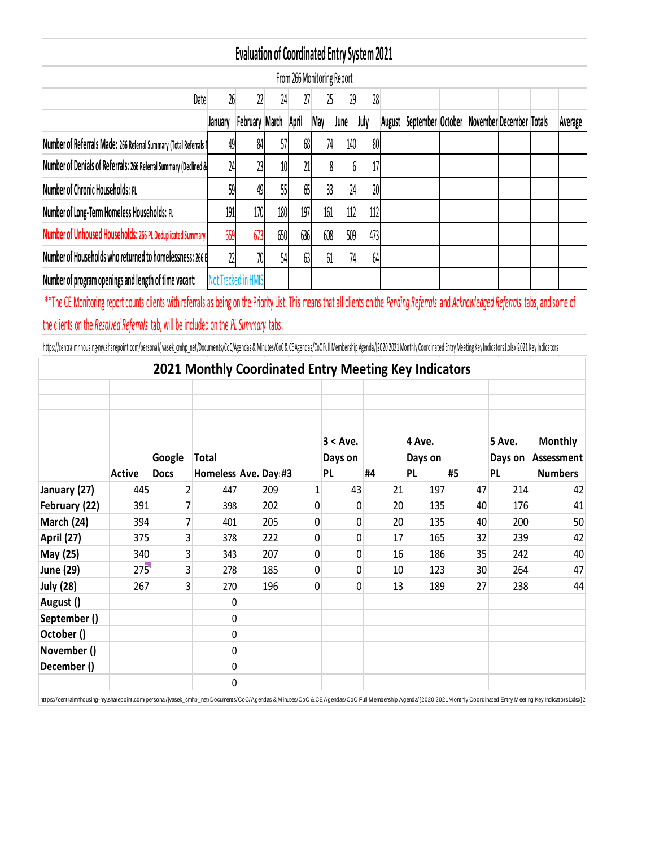|                                                                                                                                                                                                                                |                      |                               |                                                       | <b>Evaluation of Coordinated Entry System 2021</b> |     |                            |     |             |      |        |                   |    |    |                          |                                                      |
|--------------------------------------------------------------------------------------------------------------------------------------------------------------------------------------------------------------------------------|----------------------|-------------------------------|-------------------------------------------------------|----------------------------------------------------|-----|----------------------------|-----|-------------|------|--------|-------------------|----|----|--------------------------|------------------------------------------------------|
|                                                                                                                                                                                                                                |                      |                               |                                                       |                                                    |     | From 266 Monitoring Report |     |             |      |        |                   |    |    |                          |                                                      |
|                                                                                                                                                                                                                                |                      |                               | 26<br>Date                                            | 22                                                 | 24  | 27                         | 25  | 29          | 28   |        |                   |    |    |                          |                                                      |
|                                                                                                                                                                                                                                |                      |                               | January                                               | <b>February March</b>                              |     | April                      | May | June        | July | August | September October |    |    | November December Totals | Average                                              |
| Number of Referrals Made: 266 Referral Summary (Total Referrals I                                                                                                                                                              |                      |                               | 49                                                    | 84                                                 | 57  | 68                         | 74  | 140         | 80   |        |                   |    |    |                          |                                                      |
| Number of Denials of Referrals: 266 Referral Summary (Declined &                                                                                                                                                               |                      | 24                            | 23                                                    | 10                                                 | 21  |                            | 6   | 17          |      |        |                   |    |    |                          |                                                      |
| Number of Chronic Households: PL                                                                                                                                                                                               |                      |                               | 59                                                    | 49                                                 | 55  | 65                         | 33  | 24          | 20   |        |                   |    |    |                          |                                                      |
| Number of Long-Term Homeless Households: PL                                                                                                                                                                                    |                      |                               | 191                                                   | 170                                                | 180 | 197                        | 161 | 112         | 112  |        |                   |    |    |                          |                                                      |
| Number of Unhoused Households: 266 PL Deduplicated Summary                                                                                                                                                                     |                      |                               | 659                                                   | 673                                                | 650 | 636                        | 608 | 509         | 473  |        |                   |    |    |                          |                                                      |
| Number of Households who returned to homelessness: 266 E                                                                                                                                                                       |                      |                               | 22                                                    | 70                                                 | 54  | 63                         | 61  | 74          | 64   |        |                   |    |    |                          |                                                      |
| Number of program openings and length of time vacant:                                                                                                                                                                          |                      |                               |                                                       | Not Tracked in HMIS                                |     |                            |     |             |      |        |                   |    |    |                          |                                                      |
| ** The CE Monitoring report counts clients with referrals as being on the Priority List. This means that all clients on the Pending Referrals and Acknowledged Referrals tabs, and some of                                     |                      |                               |                                                       |                                                    |     |                            |     |             |      |        |                   |    |    |                          |                                                      |
|                                                                                                                                                                                                                                |                      |                               |                                                       |                                                    |     |                            |     |             |      |        |                   |    |    |                          |                                                      |
| the clients on the Resolved Referrals tab, will be included on the PL Summary tabs.                                                                                                                                            |                      |                               |                                                       |                                                    |     |                            |     |             |      |        |                   |    |    |                          |                                                      |
|                                                                                                                                                                                                                                |                      |                               |                                                       |                                                    |     |                            |     |             |      |        |                   |    |    |                          |                                                      |
| https://centralmnhousing-my.sharepoint.com/personal/jvasek_cmhp_net/Documents/CoC/Agendas & Minutes/CoC & CE Agendas/CoC Full Membership Agenda/[2020 2021 Monthly Coordinated Entry Meeting Key Indicators1.xlsx]2021 Key Ind |                      |                               |                                                       |                                                    |     |                            |     |             |      |        |                   |    |    |                          |                                                      |
|                                                                                                                                                                                                                                |                      |                               | 2021 Monthly Coordinated Entry Meeting Key Indicators |                                                    |     |                            |     |             |      |        |                   |    |    |                          |                                                      |
|                                                                                                                                                                                                                                |                      |                               |                                                       |                                                    |     |                            |     |             |      |        |                   |    |    |                          |                                                      |
|                                                                                                                                                                                                                                |                      |                               |                                                       |                                                    |     |                            |     |             |      |        |                   |    |    |                          |                                                      |
|                                                                                                                                                                                                                                |                      |                               |                                                       |                                                    |     |                            |     |             |      |        |                   |    |    |                          |                                                      |
|                                                                                                                                                                                                                                |                      |                               |                                                       |                                                    |     |                            |     | $3 < A$ ve. |      |        | 4 Ave.            |    |    | 5 Ave.                   | <b>Monthly</b>                                       |
|                                                                                                                                                                                                                                |                      | Google                        | <b>Total</b>                                          |                                                    |     |                            | PL  | Days on     | #4   |        | Days on           |    |    | Days on                  |                                                      |
|                                                                                                                                                                                                                                | <b>Active</b><br>445 | <b>Docs</b><br>$\overline{2}$ | Homeless Ave. Day #3<br>447                           |                                                    | 209 |                            | 1   | 43          |      | 21     | <b>PL</b><br>197  | #5 | 47 | PL<br>214                | <b>Numbers</b>                                       |
| January (27)<br>February (22)                                                                                                                                                                                                  | 391                  | 7                             | 398                                                   |                                                    | 202 |                            | 0   |             | 0    | 20     | 135               |    | 40 | 176                      |                                                      |
| March (24)                                                                                                                                                                                                                     | 394                  | 7                             | 401                                                   |                                                    | 205 |                            | 0   |             | 0    | 20     | 135               |    | 40 | 200                      |                                                      |
| April (27)                                                                                                                                                                                                                     | 375                  | 3                             | 378                                                   |                                                    | 222 |                            | 0   |             | 0    | 17     | 165               |    | 32 | 239                      |                                                      |
| May (25)                                                                                                                                                                                                                       | 340                  | 3                             | 343                                                   |                                                    | 207 |                            | 0   |             | 0    | 16     | 186               |    | 35 | 242                      |                                                      |
|                                                                                                                                                                                                                                | 275                  | 3                             | 278                                                   |                                                    | 185 |                            | 0   |             | 0    | 10     | 123               |    | 30 | 264                      |                                                      |
| June (29)<br><b>July (28)</b>                                                                                                                                                                                                  | 267                  | $\overline{3}$                | 270                                                   |                                                    | 196 |                            | 0   |             | 0    | 13     | 189               |    | 27 | 238                      |                                                      |
| August ()                                                                                                                                                                                                                      |                      |                               | 0                                                     |                                                    |     |                            |     |             |      |        |                   |    |    |                          |                                                      |
| September ()                                                                                                                                                                                                                   |                      |                               | 0                                                     |                                                    |     |                            |     |             |      |        |                   |    |    |                          |                                                      |
| October ()                                                                                                                                                                                                                     |                      |                               | 0                                                     |                                                    |     |                            |     |             |      |        |                   |    |    |                          |                                                      |
| November ()                                                                                                                                                                                                                    |                      |                               | 0                                                     |                                                    |     |                            |     |             |      |        |                   |    |    |                          |                                                      |
| December ()                                                                                                                                                                                                                    |                      |                               | 0<br>0                                                |                                                    |     |                            |     |             |      |        |                   |    |    |                          | Assessment<br>42<br>41<br>50<br>42<br>40<br>47<br>44 |